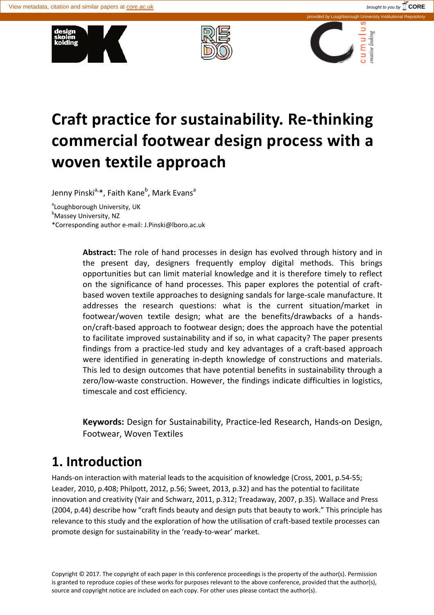





# **Craft practice for sustainability. Re-thinking commercial footwear design process with a woven textile approach**

Jenny Pinski<sup>a,</sup>\*, Faith Kane<sup>b</sup>, Mark Evans<sup>a</sup>

<sup>a</sup>Loughborough University, UK

<sup>b</sup>Massey University, NZ

\*Corresponding author e-mail: J.Pinski@lboro.ac.uk

**Abstract:** The role of hand processes in design has evolved through history and in the present day, designers frequently employ digital methods. This brings opportunities but can limit material knowledge and it is therefore timely to reflect on the significance of hand processes. This paper explores the potential of craftbased woven textile approaches to designing sandals for large-scale manufacture. It addresses the research questions: what is the current situation/market in footwear/woven textile design; what are the benefits/drawbacks of a handson/craft-based approach to footwear design; does the approach have the potential to facilitate improved sustainability and if so, in what capacity? The paper presents findings from a practice-led study and key advantages of a craft-based approach were identified in generating in-depth knowledge of constructions and materials. This led to design outcomes that have potential benefits in sustainability through a zero/low-waste construction. However, the findings indicate difficulties in logistics, timescale and cost efficiency.

**Keywords:** Design for Sustainability, Practice-led Research, Hands-on Design, Footwear, Woven Textiles

# **1. Introduction**

Hands-on interaction with material leads to the acquisition of knowledge (Cross, 2001, p.54-55; Leader, 2010, p.408; Philpott, 2012, p.56; Sweet, 2013, p.32) and has the potential to facilitate innovation and creativity (Yair and Schwarz, 2011, p.312; Treadaway, 2007, p.35). Wallace and Press (2004, p.44) describe how "craft finds beauty and design puts that beauty to work." This principle has relevance to this study and the exploration of how the utilisation of craft-based textile processes can promote design for sustainability in the 'ready-to-wear' market.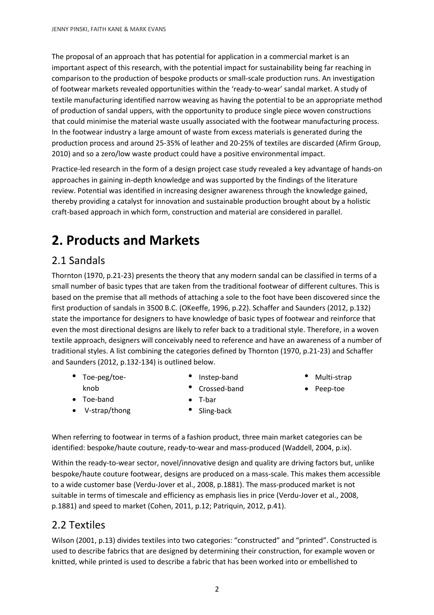The proposal of an approach that has potential for application in a commercial market is an important aspect of this research, with the potential impact for sustainability being far reaching in comparison to the production of bespoke products or small-scale production runs. An investigation of footwear markets revealed opportunities within the 'ready-to-wear' sandal market. A study of textile manufacturing identified narrow weaving as having the potential to be an appropriate method of production of sandal uppers, with the opportunity to produce single piece woven constructions that could minimise the material waste usually associated with the footwear manufacturing process. In the footwear industry a large amount of waste from excess materials is generated during the production process and around 25-35% of leather and 20-25% of textiles are discarded (Afirm Group, 2010) and so a zero/low waste product could have a positive environmental impact.

Practice-led research in the form of a design project case study revealed a key advantage of hands-on approaches in gaining in-depth knowledge and was supported by the findings of the literature review. Potential was identified in increasing designer awareness through the knowledge gained, thereby providing a catalyst for innovation and sustainable production brought about by a holistic craft-based approach in which form, construction and material are considered in parallel.

# **2. Products and Markets**

#### 2.1 Sandals

Thornton (1970, p.21-23) presents the theory that any modern sandal can be classified in terms of a small number of basic types that are taken from the traditional footwear of different cultures. This is based on the premise that all methods of attaching a sole to the foot have been discovered since the first production of sandals in 3500 B.C. (OKeeffe, 1996, p.22). Schaffer and Saunders (2012, p.132) state the importance for designers to have knowledge of basic types of footwear and reinforce that even the most directional designs are likely to refer back to a traditional style. Therefore, in a woven textile approach, designers will conceivably need to reference and have an awareness of a number of traditional styles. A list combining the categories defined by Thornton (1970, p.21-23) and Schaffer and Saunders (2012, p.132-134) is outlined below.

- Toe-peg/toeknob
- Instep-band
- Crossed-band
- Multi-strap
- Peep-toe

- Toe-band
- V-strap/thong
- T-bar • Sling-back

When referring to footwear in terms of a fashion product, three main market categories can be identified: bespoke/haute couture, ready-to-wear and mass-produced (Waddell, 2004, p.ix).

Within the ready-to-wear sector, novel/innovative design and quality are driving factors but, unlike bespoke/haute couture footwear, designs are produced on a mass-scale. This makes them accessible to a wide customer base (Verdu-Jover et al., 2008, p.1881). The mass-produced market is not suitable in terms of timescale and efficiency as emphasis lies in price (Verdu-Jover et al., 2008, p.1881) and speed to market (Cohen, 2011, p.12; Patriquin, 2012, p.41).

#### 2.2 Textiles

Wilson (2001, p.13) divides textiles into two categories: "constructed" and "printed". Constructed is used to describe fabrics that are designed by determining their construction, for example woven or knitted, while printed is used to describe a fabric that has been worked into or embellished to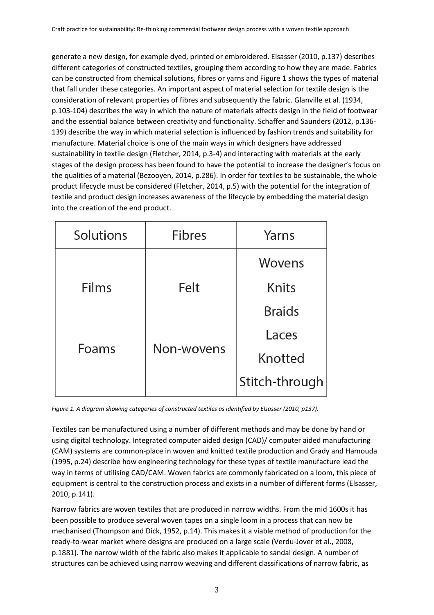generate a new design, for example dyed, printed or embroidered. Elsasser (2010, p.137) describes different categories of constructed textiles, grouping them according to how they are made. Fabrics can be constructed from chemical solutions, fibres or yarns and Figure 1 shows the types of material that fall under these categories. An important aspect of material selection for textile design is the consideration of relevant properties of fibres and subsequently the fabric. Glanville et al. (1934, p.103-104) describes the way in which the nature of materials affects design in the field of footwear and the essential balance between creativity and functionality. Schaffer and Saunders (2012, p.136- 139) describe the way in which material selection is influenced by fashion trends and suitability for manufacture. Material choice is one of the main ways in which designers have addressed sustainability in textile design (Fletcher, 2014, p.3-4) and interacting with materials at the early stages of the design process has been found to have the potential to increase the designer's focus on the qualities of a material (Bezooyen, 2014, p.286). In order for textiles to be sustainable, the whole product lifecycle must be considered (Fletcher, 2014, p.5) with the potential for the integration of textile and product design increases awareness of the lifecycle by embedding the material design into the creation of the end product.

| Solutions | <b>Fibres</b> | Yarns          |
|-----------|---------------|----------------|
|           |               | Wovens         |
| Films     | Felt          | Knits          |
|           |               | <b>Braids</b>  |
| Foams     | Non-wovens    | Laces          |
|           |               | Knotted        |
|           |               | Stitch-through |

*Figure 1. A diagram showing categories of constructed textiles as identified by Elsasser (2010, p137).*

Textiles can be manufactured using a number of different methods and may be done by hand or using digital technology. Integrated computer aided design (CAD)/ computer aided manufacturing (CAM) systems are common-place in woven and knitted textile production and Grady and Hamouda (1995, p.24) describe how engineering technology for these types of textile manufacture lead the way in terms of utilising CAD/CAM. Woven fabrics are commonly fabricated on a loom, this piece of equipment is central to the construction process and exists in a number of different forms (Elsasser, 2010, p.141).

Narrow fabrics are woven textiles that are produced in narrow widths. From the mid 1600s it has been possible to produce several woven tapes on a single loom in a process that can now be mechanised (Thompson and Dick, 1952, p.14). This makes it a viable method of production for the ready-to-wear market where designs are produced on a large scale (Verdu-Jover et al., 2008, p.1881). The narrow width of the fabric also makes it applicable to sandal design. A number of structures can be achieved using narrow weaving and different classifications of narrow fabric, as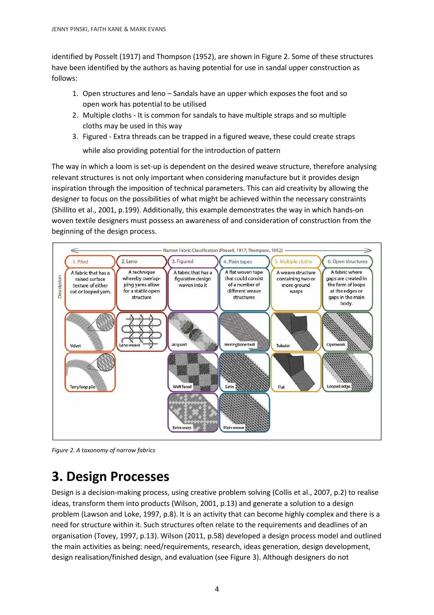identified by Posselt (1917) and Thompson (1952), are shown in Figure 2. Some of these structures have been identified by the authors as having potential for use in sandal upper construction as follows:

- 1. Open structures and leno Sandals have an upper which exposes the foot and so open work has potential to be utilised
- 2. Multiple cloths It is common for sandals to have multiple straps and so multiple cloths may be used in this way
- 3. Figured Extra threads can be trapped in a figured weave, these could create straps while also providing potential for the introduction of pattern

The way in which a loom is set-up is dependent on the desired weave structure, therefore analysing relevant structures is not only important when considering manufacture but it provides design inspiration through the imposition of technical parameters. This can aid creativity by allowing the designer to focus on the possibilities of what might be achieved within the necessary constraints (Shillito et al., 2001, p.199). Additionally, this example demonstrates the way in which hands-on woven textile designers must possess an awareness of and consideration of construction from the beginning of the design process.



*Figure 2. A taxonomy of narrow fabrics* 

# **3. Design Processes**

Design is a decision-making process, using creative problem solving (Collis et al., 2007, p.2) to realise ideas, transform them into products (Wilson, 2001, p.13) and generate a solution to a design problem (Lawson and Loke, 1997, p.8). It is an activity that can become highly complex and there is a need for structure within it. Such structures often relate to the requirements and deadlines of an organisation (Tovey, 1997, p.13). Wilson (2011, p.58) developed a design process model and outlined the main activities as being: need/requirements, research, ideas generation, design development, design realisation/finished design, and evaluation (see Figure 3). Although designers do not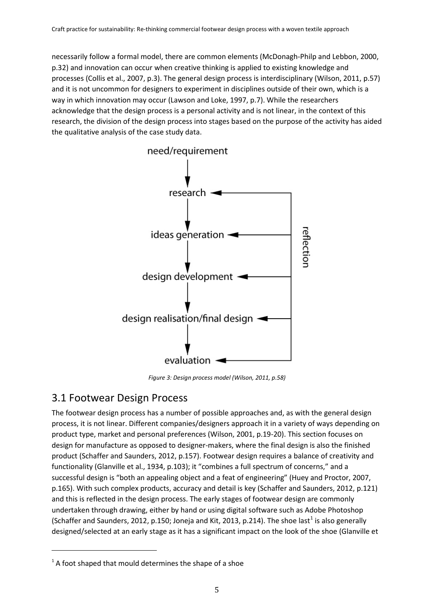necessarily follow a formal model, there are common elements (McDonagh-Philp and Lebbon, 2000, p.32) and innovation can occur when creative thinking is applied to existing knowledge and processes (Collis et al., 2007, p.3). The general design process is interdisciplinary (Wilson, 2011, p.57) and it is not uncommon for designers to experiment in disciplines outside of their own, which is a way in which innovation may occur (Lawson and Loke, 1997, p.7). While the researchers acknowledge that the design process is a personal activity and is not linear, in the context of this research, the division of the design process into stages based on the purpose of the activity has aided the qualitative analysis of the case study data.



*Figure 3: Design process model (Wilson, 2011, p.58)*

#### 3.1 Footwear Design Process

 $\overline{a}$ 

The footwear design process has a number of possible approaches and, as with the general design process, it is not linear. Different companies/designers approach it in a variety of ways depending on product type, market and personal preferences (Wilson, 2001, p.19-20). This section focuses on design for manufacture as opposed to designer-makers, where the final design is also the finished product (Schaffer and Saunders, 2012, p.157). Footwear design requires a balance of creativity and functionality (Glanville et al., 1934, p.103); it "combines a full spectrum of concerns," and a successful design is "both an appealing object and a feat of engineering" (Huey and Proctor, 2007, p.165). With such complex products, accuracy and detail is key (Schaffer and Saunders, 2012, p.121) and this is reflected in the design process. The early stages of footwear design are commonly undertaken through drawing, either by hand or using digital software such as Adobe Photoshop (Schaffer and Saunders, 20[1](#page-4-0)2, p.150; Joneja and Kit, 2013, p.214). The shoe last<sup>1</sup> is also generally designed/selected at an early stage as it has a significant impact on the look of the shoe (Glanville et

<span id="page-4-0"></span> $1$ <sup>1</sup> A foot shaped that mould determines the shape of a shoe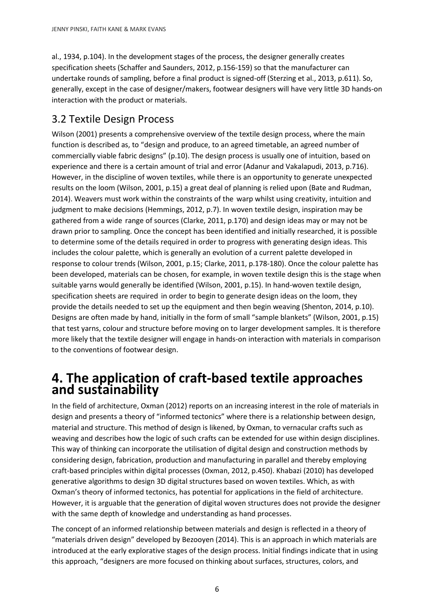al., 1934, p.104). In the development stages of the process, the designer generally creates specification sheets (Schaffer and Saunders, 2012, p.156-159) so that the manufacturer can undertake rounds of sampling, before a final product is signed-off (Sterzing et al., 2013, p.611). So, generally, except in the case of designer/makers, footwear designers will have very little 3D hands-on interaction with the product or materials.

#### 3.2 Textile Design Process

Wilson (2001) presents a comprehensive overview of the textile design process, where the main function is described as, to "design and produce, to an agreed timetable, an agreed number of commercially viable fabric designs" (p.10). The design process is usually one of intuition, based on experience and there is a certain amount of trial and error (Adanur and Vakalapudi, 2013, p.716). However, in the discipline of woven textiles, while there is an opportunity to generate unexpected results on the loom (Wilson, 2001, p.15) a great deal of planning is relied upon (Bate and Rudman, 2014). Weavers must work within the constraints of the warp whilst using creativity, intuition and judgment to make decisions (Hemmings, 2012, p.7). In woven textile design, inspiration may be gathered from a wide range of sources (Clarke, 2011, p.170) and design ideas may or may not be drawn prior to sampling. Once the concept has been identified and initially researched, it is possible to determine some of the details required in order to progress with generating design ideas. This includes the colour palette, which is generally an evolution of a current palette developed in response to colour trends (Wilson, 2001, p.15; Clarke, 2011, p.178-180). Once the colour palette has been developed, materials can be chosen, for example, in woven textile design this is the stage when suitable yarns would generally be identified (Wilson, 2001, p.15). In hand-woven textile design, specification sheets are required in order to begin to generate design ideas on the loom, they provide the details needed to set up the equipment and then begin weaving (Shenton, 2014, p.10). Designs are often made by hand, initially in the form of small "sample blankets" (Wilson, 2001, p.15) that test yarns, colour and structure before moving on to larger development samples. It is therefore more likely that the textile designer will engage in hands-on interaction with materials in comparison to the conventions of footwear design.

# **4. The application of craft-based textile approaches and sustainability**

In the field of architecture, Oxman (2012) reports on an increasing interest in the role of materials in design and presents a theory of "informed tectonics" where there is a relationship between design, material and structure. This method of design is likened, by Oxman, to vernacular crafts such as weaving and describes how the logic of such crafts can be extended for use within design disciplines. This way of thinking can incorporate the utilisation of digital design and construction methods by considering design, fabrication, production and manufacturing in parallel and thereby employing craft-based principles within digital processes (Oxman, 2012, p.450). Khabazi (2010) has developed generative algorithms to design 3D digital structures based on woven textiles. Which, as with Oxman's theory of informed tectonics, has potential for applications in the field of architecture. However, it is arguable that the generation of digital woven structures does not provide the designer with the same depth of knowledge and understanding as hand processes.

The concept of an informed relationship between materials and design is reflected in a theory of "materials driven design" developed by Bezooyen (2014). This is an approach in which materials are introduced at the early explorative stages of the design process. Initial findings indicate that in using this approach, "designers are more focused on thinking about surfaces, structures, colors, and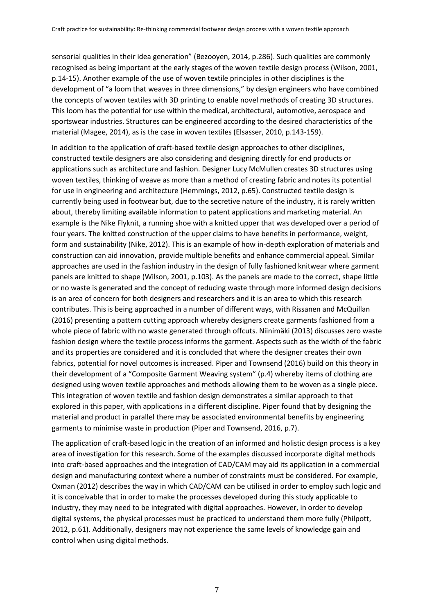sensorial qualities in their idea generation" (Bezooyen, 2014, p.286). Such qualities are commonly recognised as being important at the early stages of the woven textile design process (Wilson, 2001, p.14-15). Another example of the use of woven textile principles in other disciplines is the development of "a loom that weaves in three dimensions," by design engineers who have combined the concepts of woven textiles with 3D printing to enable novel methods of creating 3D structures. This loom has the potential for use within the medical, architectural, automotive, aerospace and sportswear industries. Structures can be engineered according to the desired characteristics of the material (Magee, 2014), as is the case in woven textiles (Elsasser, 2010, p.143-159).

In addition to the application of craft-based textile design approaches to other disciplines, constructed textile designers are also considering and designing directly for end products or applications such as architecture and fashion. Designer Lucy McMullen creates 3D structures using woven textiles, thinking of weave as more than a method of creating fabric and notes its potential for use in engineering and architecture (Hemmings, 2012, p.65). Constructed textile design is currently being used in footwear but, due to the secretive nature of the industry, it is rarely written about, thereby limiting available information to patent applications and marketing material. An example is the Nike Flyknit, a running shoe with a knitted upper that was developed over a period of four years. The knitted construction of the upper claims to have benefits in performance, weight, form and sustainability (Nike, 2012). This is an example of how in-depth exploration of materials and construction can aid innovation, provide multiple benefits and enhance commercial appeal. Similar approaches are used in the fashion industry in the design of fully fashioned knitwear where garment panels are knitted to shape (Wilson, 2001, p.103). As the panels are made to the correct, shape little or no waste is generated and the concept of reducing waste through more informed design decisions is an area of concern for both designers and researchers and it is an area to which this research contributes. This is being approached in a number of different ways, with Rissanen and McQuillan (2016) presenting a pattern cutting approach whereby designers create garments fashioned from a whole piece of fabric with no waste generated through offcuts. Niinimäki (2013) discusses zero waste fashion design where the textile process informs the garment. Aspects such as the width of the fabric and its properties are considered and it is concluded that where the designer creates their own fabrics, potential for novel outcomes is increased. Piper and Townsend (2016) build on this theory in their development of a "Composite Garment Weaving system" (p.4) whereby items of clothing are designed using woven textile approaches and methods allowing them to be woven as a single piece. This integration of woven textile and fashion design demonstrates a similar approach to that explored in this paper, with applications in a different discipline. Piper found that by designing the material and product in parallel there may be associated environmental benefits by engineering garments to minimise waste in production (Piper and Townsend, 2016, p.7).

The application of craft-based logic in the creation of an informed and holistic design process is a key area of investigation for this research. Some of the examples discussed incorporate digital methods into craft-based approaches and the integration of CAD/CAM may aid its application in a commercial design and manufacturing context where a number of constraints must be considered. For example, Oxman (2012) describes the way in which CAD/CAM can be utilised in order to employ such logic and it is conceivable that in order to make the processes developed during this study applicable to industry, they may need to be integrated with digital approaches. However, in order to develop digital systems, the physical processes must be practiced to understand them more fully (Philpott, 2012, p.61). Additionally, designers may not experience the same levels of knowledge gain and control when using digital methods.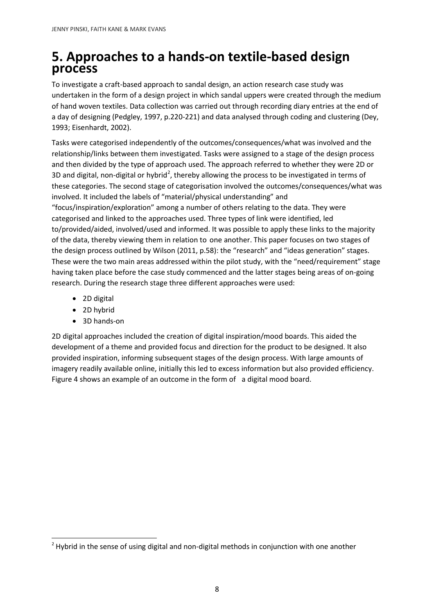#### **5. Approaches to a hands-on textile-based design process**

To investigate a craft-based approach to sandal design, an action research case study was undertaken in the form of a design project in which sandal uppers were created through the medium of hand woven textiles. Data collection was carried out through recording diary entries at the end of a day of designing (Pedgley, 1997, p.220-221) and data analysed through coding and clustering (Dey, 1993; Eisenhardt, 2002).

Tasks were categorised independently of the outcomes/consequences/what was involved and the relationship/links between them investigated. Tasks were assigned to a stage of the design process and then divided by the type of approach used. The approach referred to whether they were 2D or 3D and digital, non-digital or hybrid<sup>[2](#page-7-0)</sup>, thereby allowing the process to be investigated in terms of these categories. The second stage of categorisation involved the outcomes/consequences/what was involved. It included the labels of "material/physical understanding" and "focus/inspiration/exploration" among a number of others relating to the data. They were categorised and linked to the approaches used. Three types of link were identified, led to/provided/aided, involved/used and informed. It was possible to apply these links to the majority of the data, thereby viewing them in relation to one another. This paper focuses on two stages of the design process outlined by Wilson (2011, p.58): the "research" and "ideas generation" stages. These were the two main areas addressed within the pilot study, with the "need/requirement" stage having taken place before the case study commenced and the latter stages being areas of on-going research. During the research stage three different approaches were used:

- 2D digital
- 2D hybrid
- 3D hands-on

2D digital approaches included the creation of digital inspiration/mood boards. This aided the development of a theme and provided focus and direction for the product to be designed. It also provided inspiration, informing subsequent stages of the design process. With large amounts of imagery readily available online, initially this led to excess information but also provided efficiency. Figure 4 shows an example of an outcome in the form of a digital mood board.

<span id="page-7-0"></span> $2$  Hybrid in the sense of using digital and non-digital methods in conjunction with one another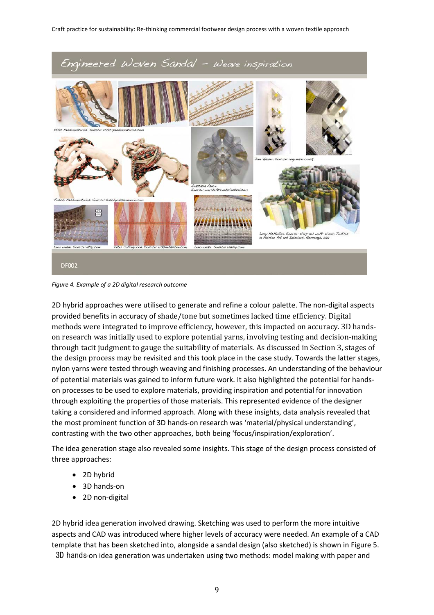

*Figure 4. Example of a 2D digital research outcome*

2D hybrid approaches were utilised to generate and refine a colour palette. The non-digital aspects provided benefits in accuracy of shade/tone but sometimes lacked time efficiency. Digital methods were integrated to improve efficiency, however, this impacted on accuracy. 3D handson research was initially used to explore potential yarns, involving testing and decision-making through tacit judgment to gauge the suitability of materials. As discussed in Section 3, stages of the design process may be revisited and this took place in the case study. Towards the latter stages, nylon yarns were tested through weaving and finishing processes. An understanding of the behaviour of potential materials was gained to inform future work. It also highlighted the potential for handson processes to be used to explore materials, providing inspiration and potential for innovation through exploiting the properties of those materials. This represented evidence of the designer taking a considered and informed approach. Along with these insights, data analysis revealed that the most prominent function of 3D hands-on research was 'material/physical understanding', contrasting with the two other approaches, both being 'focus/inspiration/exploration'.

The idea generation stage also revealed some insights. This stage of the design process consisted of three approaches:

- 2D hybrid
- 3D hands-on
- 2D non-digital

2D hybrid idea generation involved drawing. Sketching was used to perform the more intuitive aspects and CAD was introduced where higher levels of accuracy were needed. An example of a CAD template that has been sketched into, alongside a sandal design (also sketched) is shown in Figure 5.

3D hands-on idea generation was undertaken using two methods: model making with paper and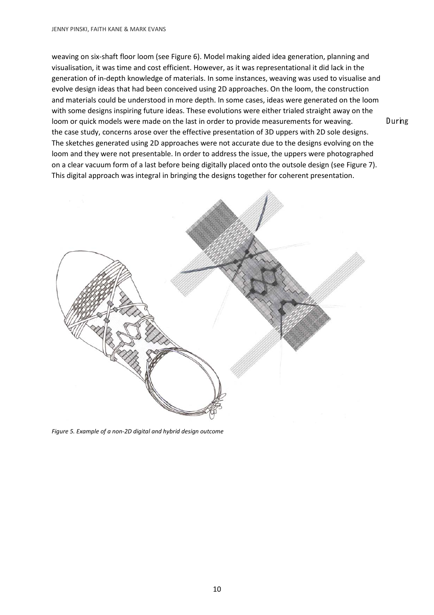weaving on six-shaft floor loom (see Figure 6). Model making aided idea generation, planning and visualisation, it was time and cost efficient. However, as it was representational it did lack in the generation of in-depth knowledge of materials. In some instances, weaving was used to visualise and evolve design ideas that had been conceived using 2D approaches. On the loom, the construction and materials could be understood in more depth. In some cases, ideas were generated on the loom with some designs inspiring future ideas. These evolutions were either trialed straight away on the loom or quick models were made on the last in order to provide measurements for weaving. During the case study, concerns arose over the effective presentation of 3D uppers with 2D sole designs. The sketches generated using 2D approaches were not accurate due to the designs evolving on the loom and they were not presentable. In order to address the issue, the uppers were photographed on a clear vacuum form of a last before being digitally placed onto the outsole design (see Figure 7). This digital approach was integral in bringing the designs together for coherent presentation.



*Figure 5. Example of a non-2D digital and hybrid design outcome*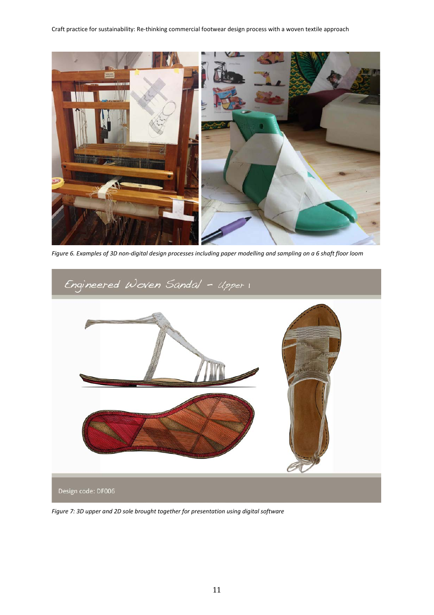

*Figure 6. Examples of 3D non-digital design processes including paper modelling and sampling on a 6 shaft floor loom*



*Figure 7: 3D upper and 2D sole brought together for presentation using digital software*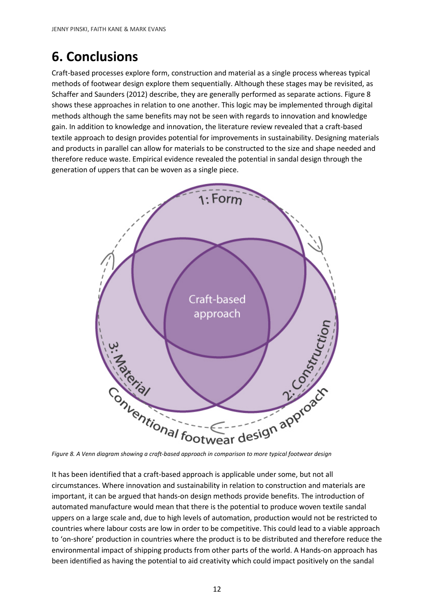# **6. Conclusions**

Craft-based processes explore form, construction and material as a single process whereas typical methods of footwear design explore them sequentially. Although these stages may be revisited, as Schaffer and Saunders (2012) describe, they are generally performed as separate actions. Figure 8 shows these approaches in relation to one another. This logic may be implemented through digital methods although the same benefits may not be seen with regards to innovation and knowledge gain. In addition to knowledge and innovation, the literature review revealed that a craft-based textile approach to design provides potential for improvements in sustainability. Designing materials and products in parallel can allow for materials to be constructed to the size and shape needed and therefore reduce waste. Empirical evidence revealed the potential in sandal design through the generation of uppers that can be woven as a single piece.



It has been identified that a craft-based approach is applicable under some, but not all circumstances. Where innovation and sustainability in relation to construction and materials are important, it can be argued that hands-on design methods provide benefits. The introduction of automated manufacture would mean that there is the potential to produce woven textile sandal uppers on a large scale and, due to high levels of automation, production would not be restricted to countries where labour costs are low in order to be competitive. This could lead to a viable approach to 'on-shore' production in countries where the product is to be distributed and therefore reduce the environmental impact of shipping products from other parts of the world. A Hands-on approach has been identified as having the potential to aid creativity which could impact positively on the sandal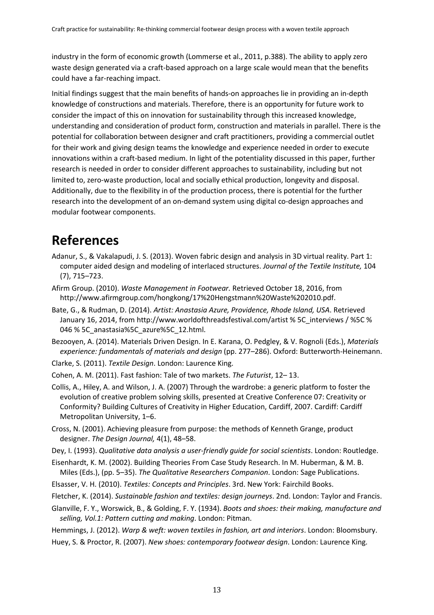industry in the form of economic growth (Lommerse et al., 2011, p.388). The ability to apply zero waste design generated via a craft-based approach on a large scale would mean that the benefits could have a far-reaching impact.

Initial findings suggest that the main benefits of hands-on approaches lie in providing an in-depth knowledge of constructions and materials. Therefore, there is an opportunity for future work to consider the impact of this on innovation for sustainability through this increased knowledge, understanding and consideration of product form, construction and materials in parallel. There is the potential for collaboration between designer and craft practitioners, providing a commercial outlet for their work and giving design teams the knowledge and experience needed in order to execute innovations within a craft-based medium. In light of the potentiality discussed in this paper, further research is needed in order to consider different approaches to sustainability, including but not limited to, zero-waste production, local and socially ethical production, longevity and disposal. Additionally, due to the flexibility in of the production process, there is potential for the further research into the development of an on-demand system using digital co-design approaches and modular footwear components.

### **References**

- Adanur, S., & Vakalapudi, J. S. (2013). Woven fabric design and analysis in 3D virtual reality. Part 1: computer aided design and modeling of interlaced structures. *Journal of the Textile Institute,* 104 (7), 715–723.
- Afirm Group. (2010). *Waste Management in Footwear.* Retrieved October 18, 2016, from http://www.afirmgroup.com/hongkong/17%20Hengstmann%20Waste%202010.pdf.
- Bate, G., & Rudman, D. (2014). *Artist: Anastasia Azure, Providence, Rhode Island, USA*. Retrieved January 16, 2014, from http://www.worldofthreadsfestival.com/artist % 5C\_interviews / %5C % 046 % 5C\_anastasia%5C\_azure%5C\_12.html.
- Bezooyen, A. (2014). Materials Driven Design. In E. Karana, O. Pedgley, & V. Rognoli (Eds.), *Materials experience: fundamentals of materials and design* (pp. 277–286). Oxford: Butterworth-Heinemann.
- Clarke, S. (2011). *Textile Design*. London: Laurence King.
- Cohen, A. M. (2011). Fast fashion: Tale of two markets. *The Futurist*, 12– 13.
- Collis, A., Hiley, A. and Wilson, J. A. (2007) Through the wardrobe: a generic platform to foster the evolution of creative problem solving skills, presented at Creative Conference 07: Creativity or Conformity? Building Cultures of Creativity in Higher Education, Cardiff, 2007. Cardiff: Cardiff Metropolitan University, 1–6.
- Cross, N. (2001). Achieving pleasure from purpose: the methods of Kenneth Grange, product designer. *The Design Journal,* 4(1), 48–58.
- Dey, I. (1993). *Qualitative data analysis a user-friendly guide for social scientists*. London: Routledge.
- Eisenhardt, K. M. (2002). Building Theories From Case Study Research. In M. Huberman, & M. B. Miles (Eds.), (pp. 5–35). *The Qualitative Researchers Companion*. London: Sage Publications.
- Elsasser, V. H. (2010). *Textiles: Concepts and Principles*. 3rd. New York: Fairchild Books.
- Fletcher, K. (2014). *Sustainable fashion and textiles: design journeys*. 2nd. London: Taylor and Francis.
- Glanville, F. Y., Worswick, B., & Golding, F. Y. (1934). *Boots and shoes: their making, manufacture and selling, Vol.1: Pattern cutting and making*. London: Pitman.

Hemmings, J. (2012). *Warp & weft: woven textiles in fashion, art and interiors*. London: Bloomsbury.

Huey, S. & Proctor, R. (2007). *New shoes: contemporary footwear design*. London: Laurence King.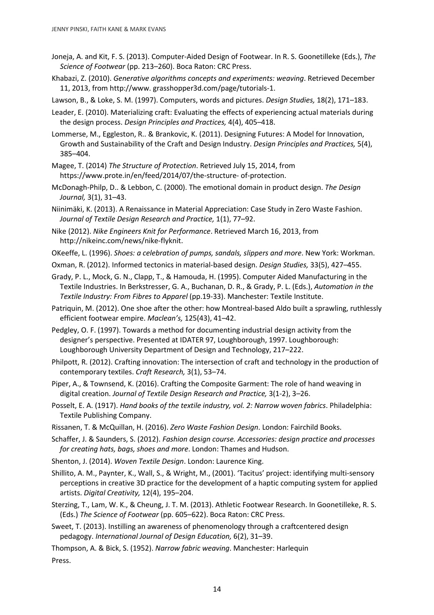- Joneja, A. and Kit, F. S. (2013). Computer-Aided Design of Footwear. In R. S. Goonetilleke (Eds.), *The Science of Footwear* (pp. 213–260). Boca Raton: CRC Press.
- Khabazi, Z. (2010). *Generative algorithms concepts and experiments: weaving*. Retrieved December 11, 2013, from http://www. grasshopper3d.com/page/tutorials-1.

Lawson, B., & Loke, S. M. (1997). Computers, words and pictures. *Design Studies,* 18(2), 171–183.

Leader, E. (2010). Materializing craft: Evaluating the effects of experiencing actual materials during the design process. *Design Principles and Practices,* 4(4), 405–418.

Lommerse, M., Eggleston, R.. & Brankovic, K. (2011). Designing Futures: A Model for Innovation, Growth and Sustainability of the Craft and Design Industry. *Design Principles and Practices,* 5(4), 385–404.

- Magee, T. (2014) *The Structure of Protection*. Retrieved July 15, 2014, from https://www.prote.in/en/feed/2014/07/the-structure- of-protection.
- McDonagh-Philp, D.. & Lebbon, C. (2000). The emotional domain in product design. *The Design Journal,* 3(1), 31–43.
- Niinimäki, K. (2013). A Renaissance in Material Appreciation: Case Study in Zero Waste Fashion. *Journal of Textile Design Research and Practice,* 1(1), 77–92.
- Nike (2012). *Nike Engineers Knit for Performance*. Retrieved March 16, 2013, from http://nikeinc.com/news/nike-flyknit.
- OKeeffe, L. (1996). *Shoes: a celebration of pumps, sandals, slippers and more*. New York: Workman.
- Oxman, R. (2012). Informed tectonics in material-based design. *Design Studies,* 33(5), 427–455.
- Grady, P. L., Mock, G. N., Clapp, T., & Hamouda, H. (1995). Computer Aided Manufacturing in the Textile Industries. In Berkstresser, G. A., Buchanan, D. R., & Grady, P. L. (Eds.), *Automation in the Textile Industry: From Fibres to Apparel* (pp.19-33). Manchester: Textile Institute.

Patriquin, M. (2012). One shoe after the other: how Montreal-based Aldo built a sprawling, ruthlessly efficient footwear empire. *Maclean's,* 125(43), 41–42.

- Pedgley, O. F. (1997). Towards a method for documenting industrial design activity from the designer's perspective. Presented at IDATER 97, Loughborough, 1997. Loughborough: Loughborough University Department of Design and Technology, 217–222.
- Philpott, R. (2012). Crafting innovation: The intersection of craft and technology in the production of contemporary textiles. *Craft Research,* 3(1), 53–74.
- Piper, A., & Townsend, K. (2016). Crafting the Composite Garment: The role of hand weaving in digital creation. *Journal of Textile Design Research and Practice,* 3(1-2), 3–26.
- Posselt, E. A. (1917). *Hand books of the textile industry, vol. 2: Narrow woven fabrics*. Philadelphia: Textile Publishing Company.
- Rissanen, T. & McQuillan, H. (2016). *Zero Waste Fashion Design*. London: Fairchild Books.

Schaffer, J. & Saunders, S. (2012). *Fashion design course. Accessories: design practice and processes for creating hats, bags, shoes and more*. London: Thames and Hudson.

- Shenton, J. (2014). *Woven Textile Design*. London: Laurence King.
- Shillito, A. M., Paynter, K., Wall, S., & Wright, M., (2001). 'Tacitus' project: identifying multi-sensory perceptions in creative 3D practice for the development of a haptic computing system for applied artists. *Digital Creativity,* 12(4), 195–204.
- Sterzing, T., Lam, W. K., & Cheung, J. T. M. (2013). Athletic Footwear Research. In Goonetilleke, R. S. (Eds.) *The Science of Footwear* (pp. 605–622). Boca Raton: CRC Press.
- Sweet, T. (2013). Instilling an awareness of phenomenology through a craftcentered design pedagogy. *International Journal of Design Education,* 6(2), 31–39.

Thompson, A. & Bick, S. (1952). *Narrow fabric weaving*. Manchester: Harlequin Press.